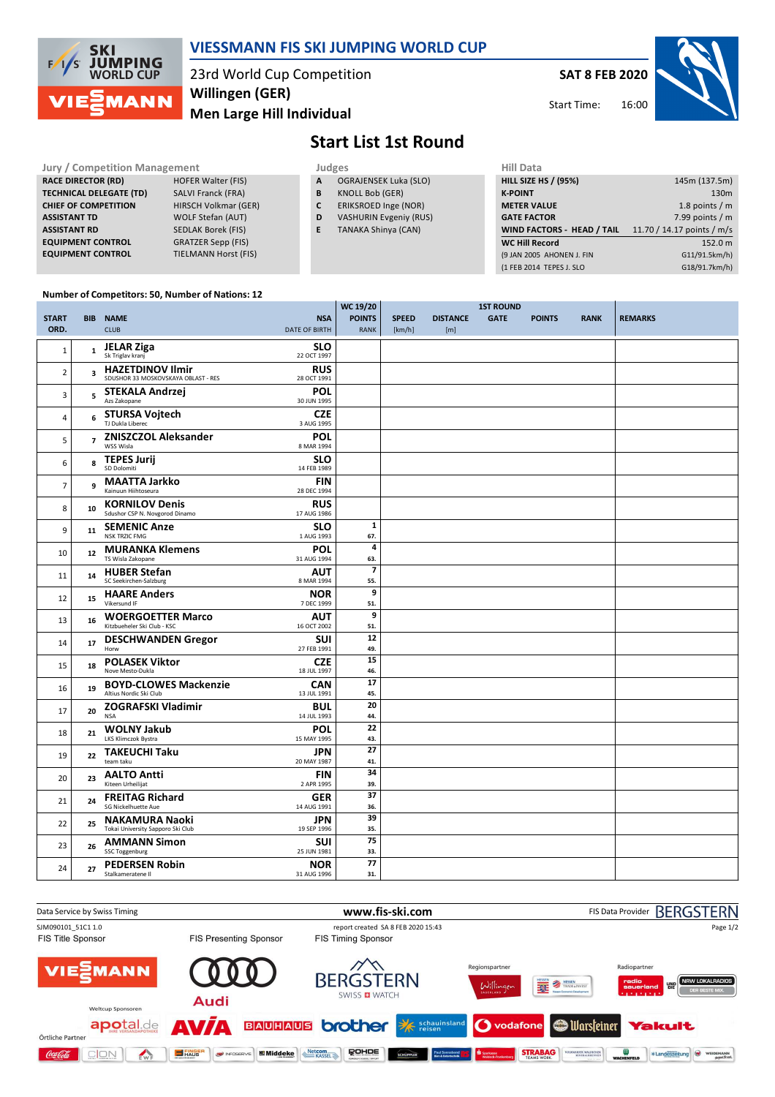

## **VIESSMANN FIS SKI JUMPING WORLD CUP**

23rd World Cup Competition **Men Large Hill Individual Willingen (GER)**

**SAT 8 FEB 2020**



Start Time:

# **Start List 1st Round**

**Jury / Competition Management Judges Judges Hill Data**<br> **RACE DIRECTOR (RD)** HILL SIZE **RACE DIRECTOR (RD) TECHNICAL DELEGATE (TD)** SALVI Franck (FRA) **CHIEF OF COMPETITION** HIRSCH Volkmar (GER) **ASSISTANT TD** WOLF Stefan (AUT) **ASSISTANT RD** SEDLAK Borek (FIS)<br>**EQUIPMENT CONTROL** GRATZER Sepp (FIS) **EQUIPMENT CONTROL**<br>EQUIPMENT CONTROL **TIELMANN Horst (FIS)** 

- **A** OGRAJENSEK Luka (SLO)
- **B** KNOLL Bob (GER)
- **C** ERIKSROED Inge (NOR)
- **D** VASHURIN Evgeniy (RUS)
- **E** TANAKA Shinya (CAN)

| нш рата                     |                            |
|-----------------------------|----------------------------|
| <b>HILL SIZE HS / (95%)</b> | 145m (137.5m)              |
| <b>K-POINT</b>              | 130 <sub>m</sub>           |
| <b>METER VALUE</b>          | 1.8 points $/m$            |
| <b>GATE FACTOR</b>          | 7.99 points $/m$           |
| WIND FACTORS - HEAD / TAIL  | 11.70 / 14.17 points / m/s |
|                             |                            |
| <b>WC Hill Record</b>       | 152.0 m                    |
| (9 JAN 2005 AHONEN J. FIN   | G11/91.5km/h)              |
| (1 FEB 2014 TEPES J. SLO    | G18/91.7km/h)              |

#### **Number of Competitors: 50, Number of Nations: 12**

|                |                         |                                                                |                           | WC 19/20       |              | <b>1ST ROUND</b> |             |               |             |                |
|----------------|-------------------------|----------------------------------------------------------------|---------------------------|----------------|--------------|------------------|-------------|---------------|-------------|----------------|
| <b>START</b>   |                         | <b>BIB NAME</b>                                                | <b>NSA</b>                | <b>POINTS</b>  | <b>SPEED</b> | <b>DISTANCE</b>  | <b>GATE</b> | <b>POINTS</b> | <b>RANK</b> | <b>REMARKS</b> |
| ORD.           |                         | <b>CLUB</b>                                                    | <b>DATE OF BIRTH</b>      | <b>RANK</b>    | [km/h]       | [m]              |             |               |             |                |
|                |                         |                                                                |                           |                |              |                  |             |               |             |                |
| $\mathbf{1}$   | $\mathbf{1}$            | <b>JELAR Ziga</b><br>Sk Triglav kranj                          | <b>SLO</b><br>22 OCT 1997 |                |              |                  |             |               |             |                |
|                |                         |                                                                |                           |                |              |                  |             |               |             |                |
| $\overline{2}$ | $\overline{\mathbf{3}}$ | <b>HAZETDINOV Ilmir</b><br>SDUSHOR 33 MOSKOVSKAYA OBLAST - RES | <b>RUS</b><br>28 OCT 1991 |                |              |                  |             |               |             |                |
|                |                         |                                                                |                           |                |              |                  |             |               |             |                |
| 3              | 5                       | <b>STEKALA Andrzej</b><br>Azs Zakopane                         | POL<br>30 JUN 1995        |                |              |                  |             |               |             |                |
|                |                         | <b>STURSA Vojtech</b>                                          | <b>CZE</b>                |                |              |                  |             |               |             |                |
| $\overline{4}$ | 6                       | TJ Dukla Liberec                                               | 3 AUG 1995                |                |              |                  |             |               |             |                |
|                |                         | <b>ZNISZCZOL Aleksander</b>                                    | <b>POL</b>                |                |              |                  |             |               |             |                |
| 5              | $\overline{7}$          | WSS Wisla                                                      | 8 MAR 1994                |                |              |                  |             |               |             |                |
|                |                         | <b>TEPES Jurij</b>                                             | <b>SLO</b>                |                |              |                  |             |               |             |                |
| 6              | 8                       | SD Dolomiti                                                    | 14 FEB 1989               |                |              |                  |             |               |             |                |
|                |                         | <b>MAATTA Jarkko</b>                                           | <b>FIN</b>                |                |              |                  |             |               |             |                |
| $\overline{7}$ | 9                       | Kainuun Hiihtoseura                                            | 28 DEC 1994               |                |              |                  |             |               |             |                |
|                |                         | <b>KORNILOV Denis</b>                                          | <b>RUS</b>                |                |              |                  |             |               |             |                |
| 8              | 10                      | Sdushor CSP N. Novgorod Dinamo                                 | 17 AUG 1986               |                |              |                  |             |               |             |                |
|                |                         | <b>SEMENIC Anze</b>                                            | <b>SLO</b>                | $\mathbf{1}$   |              |                  |             |               |             |                |
| 9              | 11                      | NSK TRZIC FMG                                                  | 1 AUG 1993                | 67.            |              |                  |             |               |             |                |
|                |                         | <b>MURANKA Klemens</b>                                         | <b>POL</b>                | 4              |              |                  |             |               |             |                |
| 10             | 12                      | TS Wisla Zakopane                                              | 31 AUG 1994               | 63.            |              |                  |             |               |             |                |
| 11             | 14                      | <b>HUBER Stefan</b>                                            | <b>AUT</b>                | $\overline{7}$ |              |                  |             |               |             |                |
|                |                         | SC Seekirchen-Salzburg                                         | 8 MAR 1994                | 55.            |              |                  |             |               |             |                |
| 12             | 15                      | <b>HAARE Anders</b>                                            | <b>NOR</b>                | 9              |              |                  |             |               |             |                |
|                |                         | Vikersund IF                                                   | 7 DEC 1999                | 51.            |              |                  |             |               |             |                |
| 13             | 16                      | <b>WOERGOETTER Marco</b>                                       | AUT                       | 9              |              |                  |             |               |             |                |
|                |                         | Kitzbueheler Ski Club - KSC                                    | 16 OCT 2002               | 51.            |              |                  |             |               |             |                |
| 14             | 17                      | <b>DESCHWANDEN Gregor</b>                                      | <b>SUI</b>                | 12             |              |                  |             |               |             |                |
|                |                         | Horw                                                           | 27 FEB 1991               | 49.            |              |                  |             |               |             |                |
| 15             | 18                      | <b>POLASEK Viktor</b>                                          | <b>CZE</b>                | 15             |              |                  |             |               |             |                |
|                |                         | Nove Mesto-Dukla                                               | 18 JUL 1997               | 46.            |              |                  |             |               |             |                |
| 16             | 19                      | <b>BOYD-CLOWES Mackenzie</b>                                   | <b>CAN</b>                | 17             |              |                  |             |               |             |                |
|                |                         | Altius Nordic Ski Club                                         | 13 JUL 1991               | 45.            |              |                  |             |               |             |                |
| 17             | 20                      | <b>ZOGRAFSKI Vladimir</b>                                      | <b>BUL</b>                | 20             |              |                  |             |               |             |                |
|                |                         | <b>NSA</b>                                                     | 14 JUL 1993               | 44.            |              |                  |             |               |             |                |
| 18             | 21                      | <b>WOLNY Jakub</b>                                             | POL                       | 22             |              |                  |             |               |             |                |
|                |                         | LKS Klimczok Bystra                                            | 15 MAY 1995               | 43.            |              |                  |             |               |             |                |
| 19             | 22                      | <b>TAKEUCHI Taku</b><br>team taku                              | JPN                       | 27             |              |                  |             |               |             |                |
|                |                         |                                                                | 20 MAY 1987               | 41.<br>34      |              |                  |             |               |             |                |
| 20             | 23                      | <b>AALTO Antti</b><br>Kiteen Urheilijat                        | <b>FIN</b>                |                |              |                  |             |               |             |                |
|                |                         |                                                                | 2 APR 1995                | 39.            |              |                  |             |               |             |                |
| 21             | 24                      | <b>FREITAG Richard</b><br>SG Nickelhuette Aue                  | <b>GER</b><br>14 AUG 1991 | 37<br>36.      |              |                  |             |               |             |                |
|                |                         |                                                                |                           | 39             |              |                  |             |               |             |                |
| 22             | 25                      | <b>NAKAMURA Naoki</b><br>Tokai University Sapporo Ski Club     | <b>JPN</b><br>19 SEP 1996 | 35.            |              |                  |             |               |             |                |
|                |                         |                                                                |                           | 75             |              |                  |             |               |             |                |
| 23             | 26                      | <b>AMMANN Simon</b><br><b>SSC Toggenburg</b>                   | <b>SUI</b><br>25 JUN 1981 | 33.            |              |                  |             |               |             |                |
|                |                         |                                                                | <b>NOR</b>                | 77             |              |                  |             |               |             |                |
| 24             | 27                      | <b>PEDERSEN Robin</b><br>Stalkameratene II                     | 31 AUG 1996               | 31.            |              |                  |             |               |             |                |
|                |                         |                                                                |                           |                |              |                  |             |               |             |                |